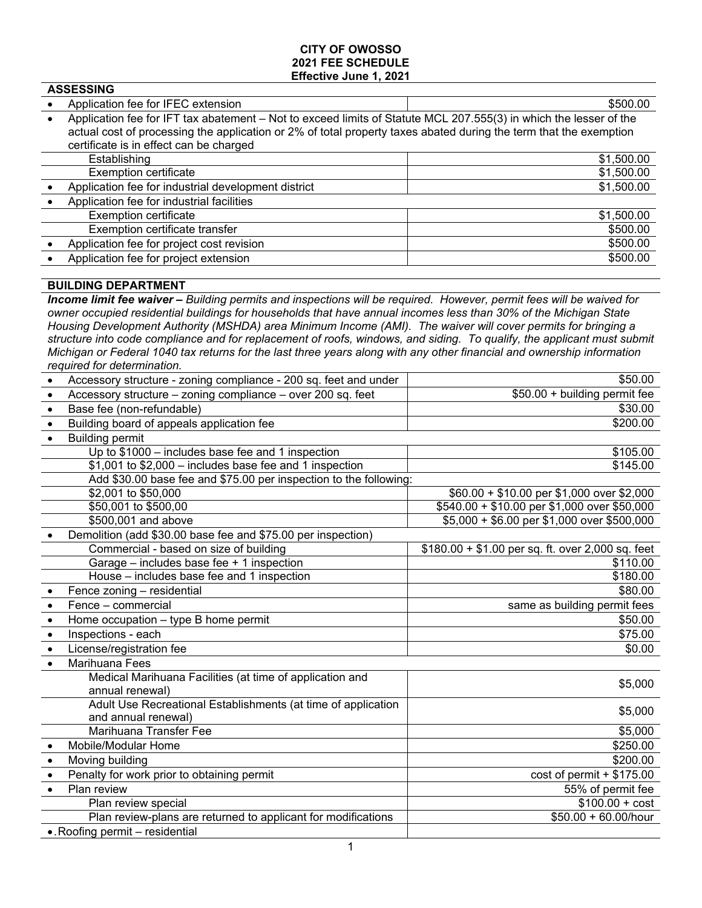### **CITY OF OWOSSO 2021 FEE SCHEDULE Effective June 1, 2021**

| AJJEJJINU |                                                                                                                   |            |
|-----------|-------------------------------------------------------------------------------------------------------------------|------------|
|           | Application fee for IFEC extension                                                                                | \$500.00   |
| $\bullet$ | Application fee for IFT tax abatement - Not to exceed limits of Statute MCL 207.555(3) in which the lesser of the |            |
|           | actual cost of processing the application or 2% of total property taxes abated during the term that the exemption |            |
|           | certificate is in effect can be charged                                                                           |            |
|           | Establishing                                                                                                      | \$1,500.00 |
|           | <b>Exemption certificate</b>                                                                                      | \$1,500.00 |
|           | Application fee for industrial development district                                                               | \$1,500.00 |
| $\bullet$ | Application fee for industrial facilities                                                                         |            |
|           | <b>Exemption certificate</b>                                                                                      | \$1,500.00 |
|           | Exemption certificate transfer                                                                                    | \$500.00   |
|           | Application fee for project cost revision                                                                         | \$500.00   |
|           | Application fee for project extension                                                                             | \$500.00   |
|           |                                                                                                                   |            |
|           |                                                                                                                   |            |

# **BUILDING DEPARTMENT**

**ASSESSING**

*Income limit fee waiver – Building permits and inspections will be required. However, permit fees will be waived for owner occupied residential buildings for households that have annual incomes less than 30% of the Michigan State Housing Development Authority (MSHDA) area Minimum Income (AMI). The waiver will cover permits for bringing a structure into code compliance and for replacement of roofs, windows, and siding. To qualify, the applicant must submit Michigan or Federal 1040 tax returns for the last three years along with any other financial and ownership information required for determination.*

|           | Accessory structure - zoning compliance - 200 sq. feet and under  | \$50.00                                           |
|-----------|-------------------------------------------------------------------|---------------------------------------------------|
| $\bullet$ | Accessory structure - zoning compliance - over 200 sq. feet       | \$50.00 + building permit fee                     |
| $\bullet$ | Base fee (non-refundable)                                         | \$30.00                                           |
| $\bullet$ | Building board of appeals application fee                         | \$200.00                                          |
| $\bullet$ | <b>Building permit</b>                                            |                                                   |
|           | Up to \$1000 - includes base fee and 1 inspection                 | \$105.00                                          |
|           | $$1,001$ to $$2,000$ – includes base fee and 1 inspection         | \$145.00                                          |
|           | Add \$30.00 base fee and \$75.00 per inspection to the following: |                                                   |
|           | \$2,001 to \$50,000                                               | \$60.00 + \$10.00 per \$1,000 over \$2,000        |
|           | \$50,001 to \$500,00                                              | \$540.00 + \$10.00 per \$1,000 over \$50,000      |
|           | \$500,001 and above                                               | \$5,000 + \$6.00 per \$1,000 over \$500,000       |
|           | Demolition (add \$30.00 base fee and \$75.00 per inspection)      |                                                   |
|           | Commercial - based on size of building                            | $$180.00 + $1.00$ per sq. ft. over 2,000 sq. feet |
|           | Garage - includes base fee + 1 inspection                         | \$110.00                                          |
|           | House - includes base fee and 1 inspection                        | \$180.00                                          |
|           | Fence zoning - residential                                        | \$80.00                                           |
| $\bullet$ | Fence - commercial                                                | same as building permit fees                      |
| $\bullet$ | Home occupation - type B home permit                              | \$50.00                                           |
| $\bullet$ | Inspections - each                                                | \$75.00                                           |
| $\bullet$ | License/registration fee                                          | \$0.00                                            |
| $\bullet$ | Marihuana Fees                                                    |                                                   |
|           | Medical Marihuana Facilities (at time of application and          | \$5,000                                           |
|           | annual renewal)                                                   |                                                   |
|           | Adult Use Recreational Establishments (at time of application     | \$5,000                                           |
|           | and annual renewal)                                               |                                                   |
|           | Marihuana Transfer Fee                                            | \$5,000                                           |
|           | Mobile/Modular Home                                               | \$250.00                                          |
| $\bullet$ | Moving building                                                   | \$200.00                                          |
| $\bullet$ | Penalty for work prior to obtaining permit                        | $cost of permit + $175.00$                        |
| $\bullet$ | Plan review                                                       | 55% of permit fee                                 |
|           | Plan review special                                               | $$100.00 + cost$                                  |
|           | Plan review-plans are returned to applicant for modifications     | $$50.00 + 60.00/h$ our                            |
|           | • Roofing permit - residential                                    |                                                   |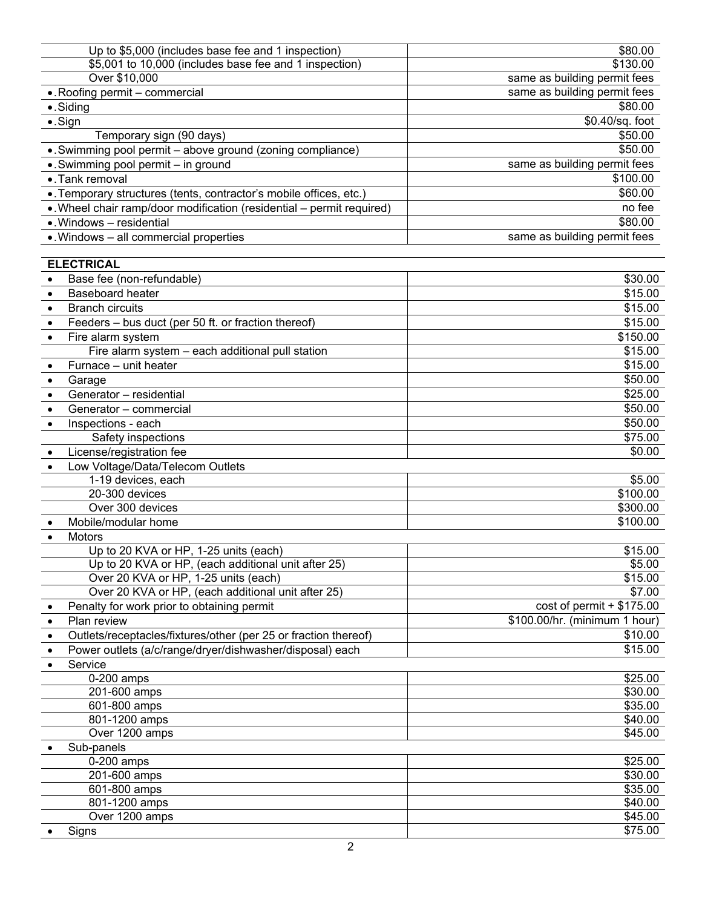| Up to \$5,000 (includes base fee and 1 inspection)                           | \$80.00                       |
|------------------------------------------------------------------------------|-------------------------------|
| \$5,001 to 10,000 (includes base fee and 1 inspection)                       | \$130.00                      |
| Over \$10,000                                                                | same as building permit fees  |
| •. Roofing permit - commercial                                               | same as building permit fees  |
| · Siding                                                                     | \$80.00                       |
| $\bullet$ . Sign                                                             | \$0.40/sq. foot               |
| Temporary sign (90 days)                                                     | \$50.00                       |
| . Swimming pool permit - above ground (zoning compliance)                    | \$50.00                       |
| • Swimming pool permit - in ground                                           | same as building permit fees  |
| • Tank removal                                                               | \$100.00                      |
| . Temporary structures (tents, contractor's mobile offices, etc.)            | \$60.00                       |
| . Wheel chair ramp/door modification (residential - permit required)         | no fee                        |
| · Windows - residential                                                      | \$80.00                       |
| • Windows - all commercial properties                                        | same as building permit fees  |
|                                                                              |                               |
| <b>ELECTRICAL</b>                                                            |                               |
| Base fee (non-refundable)                                                    | \$30.00                       |
| <b>Baseboard heater</b>                                                      | \$15.00                       |
| <b>Branch circuits</b><br>$\bullet$                                          | \$15.00                       |
| Feeders - bus duct (per 50 ft. or fraction thereof)                          | \$15.00                       |
| Fire alarm system<br>$\bullet$                                               | \$150.00                      |
| Fire alarm system - each additional pull station                             | \$15.00                       |
| Furnace - unit heater<br>$\bullet$                                           | \$15.00                       |
| Garage<br>$\bullet$                                                          | \$50.00                       |
| Generator - residential<br>$\bullet$                                         | \$25.00                       |
| Generator - commercial<br>$\bullet$                                          | \$50.00                       |
| Inspections - each<br>$\bullet$                                              | \$50.00                       |
| Safety inspections                                                           | \$75.00                       |
| License/registration fee                                                     | \$0.00                        |
| Low Voltage/Data/Telecom Outlets                                             |                               |
| 1-19 devices, each                                                           | \$5.00                        |
| 20-300 devices                                                               | \$100.00                      |
| Over 300 devices                                                             | \$300.00                      |
| Mobile/modular home                                                          | \$100.00                      |
| Motors<br>$\bullet$                                                          |                               |
| Up to 20 KVA or HP, 1-25 units (each)                                        | \$15.00                       |
| Up to 20 KVA or HP, (each additional unit after 25)                          | \$5.00                        |
| Over 20 KVA or HP, 1-25 units (each)                                         | \$15.00                       |
| Over 20 KVA or HP, (each additional unit after 25)                           | \$7.00                        |
| Penalty for work prior to obtaining permit<br>$\bullet$                      | $cost of permit + $175.00$    |
| Plan review<br>$\bullet$                                                     | \$100.00/hr. (minimum 1 hour) |
| Outlets/receptacles/fixtures/other (per 25 or fraction thereof)<br>$\bullet$ | \$10.00                       |
| Power outlets (a/c/range/dryer/dishwasher/disposal) each<br>$\bullet$        | \$15.00                       |
| Service<br>$\bullet$                                                         |                               |
| $0-200$ amps                                                                 | \$25.00                       |
| 201-600 amps                                                                 | \$30.00                       |
| 601-800 amps                                                                 | \$35.00                       |
| 801-1200 amps                                                                | \$40.00                       |
| Over 1200 amps                                                               | \$45.00                       |
| Sub-panels                                                                   |                               |
| 0-200 amps                                                                   | \$25.00                       |
| 201-600 amps                                                                 | \$30.00                       |
| 601-800 amps                                                                 | \$35.00                       |
| 801-1200 amps                                                                | \$40.00                       |
| Over 1200 amps                                                               | \$45.00                       |
| Signs                                                                        | \$75.00                       |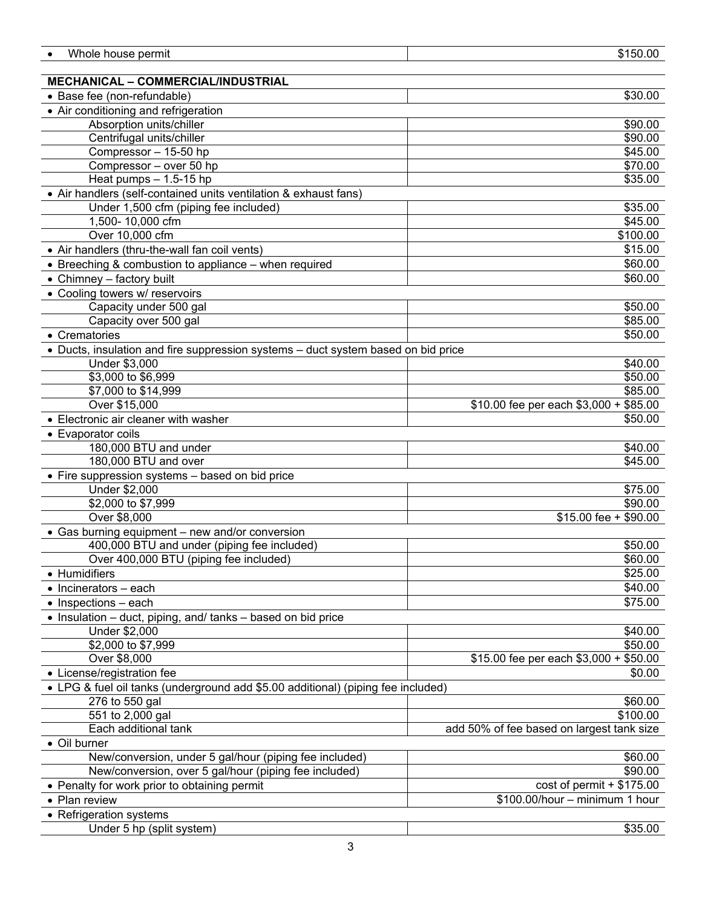| Whole house permit                                                                | \$150.00                                  |
|-----------------------------------------------------------------------------------|-------------------------------------------|
|                                                                                   |                                           |
| <b>MECHANICAL - COMMERCIAL/INDUSTRIAL</b>                                         |                                           |
| • Base fee (non-refundable)                                                       | \$30.00                                   |
| • Air conditioning and refrigeration                                              |                                           |
| Absorption units/chiller                                                          | \$90.00                                   |
| Centrifugal units/chiller                                                         | \$90.00                                   |
| Compressor - 15-50 hp                                                             | \$45.00                                   |
| Compressor - over 50 hp                                                           | \$70.00                                   |
| Heat pumps $- 1.5 - 15$ hp                                                        | \$35.00                                   |
| • Air handlers (self-contained units ventilation & exhaust fans)                  |                                           |
| Under 1,500 cfm (piping fee included)                                             | \$35.00                                   |
| 1,500-10,000 cfm                                                                  | \$45.00                                   |
| Over 10,000 cfm                                                                   | \$100.00                                  |
| • Air handlers (thru-the-wall fan coil vents)                                     | \$15.00                                   |
| • Breeching & combustion to appliance - when required                             | \$60.00                                   |
| • Chimney - factory built                                                         | \$60.00                                   |
| • Cooling towers w/ reservoirs                                                    |                                           |
| Capacity under 500 gal                                                            | \$50.00                                   |
| Capacity over 500 gal                                                             | \$85.00                                   |
| • Crematories                                                                     | \$50.00                                   |
| • Ducts, insulation and fire suppression systems - duct system based on bid price |                                           |
| Under \$3,000                                                                     | \$40.00                                   |
| \$3,000 to \$6,999                                                                | \$50.00                                   |
| \$7,000 to \$14,999                                                               | \$85.00                                   |
| Over \$15,000                                                                     | \$10.00 fee per each \$3,000 + \$85.00    |
| • Electronic air cleaner with washer                                              | \$50.00                                   |
|                                                                                   |                                           |
| • Evaporator coils                                                                |                                           |
| 180,000 BTU and under<br>180,000 BTU and over                                     | \$40.00                                   |
|                                                                                   | \$45.00                                   |
| • Fire suppression systems - based on bid price                                   |                                           |
| Under \$2,000                                                                     | \$75.00                                   |
| \$2,000 to \$7,999<br>Over \$8,000                                                | \$90.00<br>$$15.00$ fee + \$90.00         |
|                                                                                   |                                           |
| • Gas burning equipment - new and/or conversion                                   |                                           |
| 400,000 BTU and under (piping fee included)                                       | \$50.00<br>\$60.00                        |
| Over 400,000 BTU (piping fee included)                                            |                                           |
| • Humidifiers                                                                     | \$25.00                                   |
| $\bullet$ Incinerators - each                                                     | \$40.00                                   |
| $\bullet$ Inspections - each                                                      | \$75.00                                   |
| • Insulation – duct, piping, and/ tanks – based on bid price                      |                                           |
| Under \$2,000                                                                     | \$40.00                                   |
| \$2,000 to \$7,999                                                                | \$50.00                                   |
| Over \$8,000                                                                      | \$15.00 fee per each \$3,000 + \$50.00    |
| • License/registration fee                                                        | \$0.00                                    |
| • LPG & fuel oil tanks (underground add \$5.00 additional) (piping fee included)  |                                           |
| 276 to 550 gal                                                                    | \$60.00                                   |
| 551 to 2,000 gal                                                                  | \$100.00                                  |
| Each additional tank                                                              | add 50% of fee based on largest tank size |
| • Oil burner                                                                      |                                           |
| New/conversion, under 5 gal/hour (piping fee included)                            | \$60.00                                   |
| New/conversion, over 5 gal/hour (piping fee included)                             | \$90.00                                   |
| • Penalty for work prior to obtaining permit                                      | $cost of permit + $175.00$                |
| • Plan review                                                                     | \$100.00/hour - minimum 1 hour            |
| • Refrigeration systems                                                           |                                           |
| Under 5 hp (split system)                                                         | \$35.00                                   |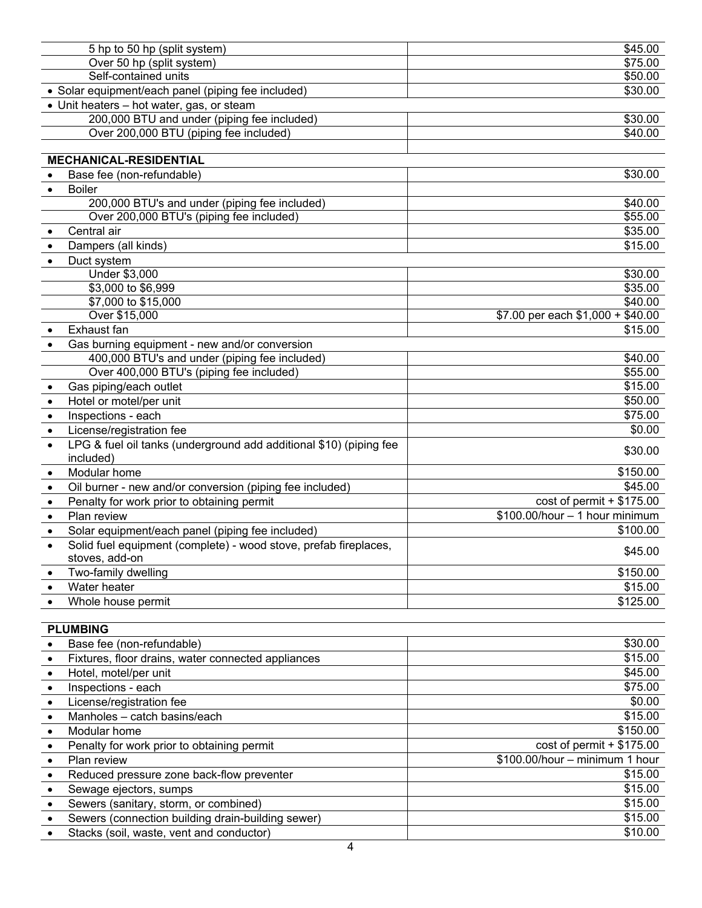|           | 5 hp to 50 hp (split system)                                                       | \$45.00                            |
|-----------|------------------------------------------------------------------------------------|------------------------------------|
|           | Over 50 hp (split system)                                                          | \$75.00                            |
|           | Self-contained units                                                               | \$50.00                            |
|           | • Solar equipment/each panel (piping fee included)                                 | \$30.00                            |
|           | • Unit heaters - hot water, gas, or steam                                          |                                    |
|           | 200,000 BTU and under (piping fee included)                                        | \$30.00                            |
|           | Over 200,000 BTU (piping fee included)                                             | \$40.00                            |
|           |                                                                                    |                                    |
|           | <b>MECHANICAL-RESIDENTIAL</b>                                                      |                                    |
|           | Base fee (non-refundable)                                                          | \$30.00                            |
| $\bullet$ | <b>Boiler</b>                                                                      |                                    |
|           | 200,000 BTU's and under (piping fee included)                                      | \$40.00                            |
|           | Over 200,000 BTU's (piping fee included)                                           | \$55.00                            |
| $\bullet$ | Central air                                                                        | \$35.00                            |
| $\bullet$ | Dampers (all kinds)                                                                | \$15.00                            |
|           | Duct system                                                                        |                                    |
|           | Under \$3,000                                                                      | \$30.00                            |
|           | \$3,000 to \$6,999                                                                 | \$35.00                            |
|           | \$7,000 to \$15,000                                                                | \$40.00                            |
|           | Over \$15,000                                                                      | $$7.00$ per each $$1,000 + $40.00$ |
|           | Exhaust fan                                                                        | \$15.00                            |
|           | Gas burning equipment - new and/or conversion                                      |                                    |
|           | 400,000 BTU's and under (piping fee included)                                      | \$40.00                            |
|           | Over 400,000 BTU's (piping fee included)                                           | \$55.00                            |
|           | Gas piping/each outlet                                                             | \$15.00                            |
| $\bullet$ | Hotel or motel/per unit                                                            | \$50.00                            |
| $\bullet$ | Inspections - each                                                                 | \$75.00                            |
| $\bullet$ | License/registration fee                                                           | \$0.00                             |
| $\bullet$ | LPG & fuel oil tanks (underground add additional \$10) (piping fee                 | \$30.00                            |
|           | included)                                                                          |                                    |
| $\bullet$ | Modular home                                                                       | \$150.00                           |
| $\bullet$ | Oil burner - new and/or conversion (piping fee included)                           | \$45.00                            |
| $\bullet$ | Penalty for work prior to obtaining permit                                         | $cost of permit + $175.00$         |
| $\bullet$ | Plan review                                                                        | $$100.00/hour - 1 hour minimum$    |
| $\bullet$ | Solar equipment/each panel (piping fee included)                                   | \$100.00                           |
| $\bullet$ | Solid fuel equipment (complete) - wood stove, prefab fireplaces,<br>stoves, add-on | \$45.00                            |
|           | Two-family dwelling                                                                | \$150.00                           |
|           | Water heater                                                                       | \$15.00                            |
|           | Whole house permit                                                                 | $\overline{$}125.00$               |
|           |                                                                                    |                                    |
|           | <b>PLUMBING</b>                                                                    |                                    |
|           | Base fee (non-refundable)                                                          | \$30.00                            |
| $\bullet$ | Fixtures, floor drains, water connected appliances                                 | \$15.00                            |
| $\bullet$ | Hotel, motel/per unit                                                              | \$45.00                            |
| $\bullet$ | Inspections - each                                                                 | \$75.00                            |
| $\bullet$ | License/registration fee                                                           | \$0.00                             |
| $\bullet$ | Manholes - catch basins/each                                                       | \$15.00                            |
| $\bullet$ | Modular home                                                                       | \$150.00                           |
| $\bullet$ | Penalty for work prior to obtaining permit                                         | $cost of permit + $175.00$         |
| $\bullet$ | Plan review                                                                        | \$100.00/hour - minimum 1 hour     |
| $\bullet$ | Reduced pressure zone back-flow preventer                                          | \$15.00                            |
| $\bullet$ | Sewage ejectors, sumps                                                             | \$15.00                            |
| $\bullet$ | Sewers (sanitary, storm, or combined)                                              | \$15.00                            |
| $\bullet$ | Sewers (connection building drain-building sewer)                                  | \$15.00                            |
| $\bullet$ | Stacks (soil, waste, vent and conductor)                                           | \$10.00                            |
|           |                                                                                    |                                    |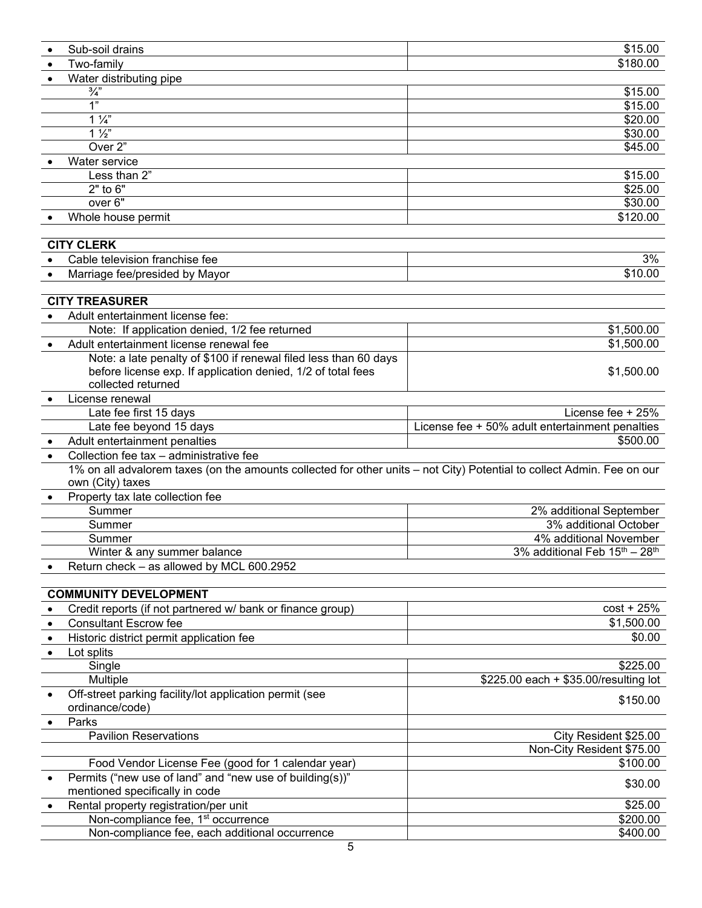|   | Sub-soil drains                                                                                                        | \$15.00                                               |
|---|------------------------------------------------------------------------------------------------------------------------|-------------------------------------------------------|
|   | Two-family                                                                                                             | \$180.00                                              |
|   | Water distributing pipe                                                                                                |                                                       |
|   | $\frac{3}{4}$                                                                                                          | \$15.00                                               |
|   | 1"                                                                                                                     | \$15.00                                               |
|   | $1\frac{1}{4}$                                                                                                         | \$20.00                                               |
|   | $1\frac{1}{2}$                                                                                                         | $\overline{$}30.00$                                   |
|   | Over 2"                                                                                                                | \$45.00                                               |
|   | Water service                                                                                                          |                                                       |
|   | Less than 2"                                                                                                           | \$15.00                                               |
|   | $2"$ to $6"$                                                                                                           | \$25.00                                               |
|   | over <sub>6</sub> "                                                                                                    | \$30.00                                               |
|   |                                                                                                                        | \$120.00                                              |
|   | Whole house permit                                                                                                     |                                                       |
|   |                                                                                                                        |                                                       |
|   | <b>CITY CLERK</b>                                                                                                      |                                                       |
|   | Cable television franchise fee                                                                                         | 3%                                                    |
|   | Marriage fee/presided by Mayor                                                                                         | \$10.00                                               |
|   |                                                                                                                        |                                                       |
|   | <b>CITY TREASURER</b>                                                                                                  |                                                       |
|   | Adult entertainment license fee:                                                                                       |                                                       |
|   | Note: If application denied, 1/2 fee returned                                                                          | \$1,500.00                                            |
|   | Adult entertainment license renewal fee                                                                                | \$1,500.00                                            |
|   | Note: a late penalty of \$100 if renewal filed less than 60 days                                                       |                                                       |
|   | before license exp. If application denied, 1/2 of total fees                                                           | \$1,500.00                                            |
|   | collected returned                                                                                                     |                                                       |
|   | License renewal                                                                                                        |                                                       |
|   | Late fee first 15 days                                                                                                 | License fee + 25%                                     |
|   |                                                                                                                        |                                                       |
|   | Late fee beyond 15 days                                                                                                | License fee + 50% adult entertainment penalties       |
|   | Adult entertainment penalties                                                                                          | \$500.00                                              |
|   | Collection fee tax - administrative fee                                                                                |                                                       |
|   | 1% on all advalorem taxes (on the amounts collected for other units – not City) Potential to collect Admin. Fee on our |                                                       |
|   | own (City) taxes                                                                                                       |                                                       |
|   | Property tax late collection fee                                                                                       |                                                       |
|   | Summer                                                                                                                 | 2% additional September                               |
|   | Summer                                                                                                                 | 3% additional October                                 |
|   | Summer                                                                                                                 | 4% additional November                                |
|   | Winter & any summer balance                                                                                            | 3% additional Feb 15 <sup>th</sup> - 28 <sup>th</sup> |
|   | Return check - as allowed by MCL 600.2952                                                                              |                                                       |
|   |                                                                                                                        |                                                       |
|   | <b>COMMUNITY DEVELOPMENT</b>                                                                                           |                                                       |
|   | Credit reports (if not partnered w/ bank or finance group)                                                             | $cost + 25%$                                          |
|   | <b>Consultant Escrow fee</b>                                                                                           | \$1,500.00                                            |
| ٠ | Historic district permit application fee                                                                               | \$0.00                                                |
| ٠ | Lot splits                                                                                                             |                                                       |
|   |                                                                                                                        |                                                       |
|   | Single                                                                                                                 | \$225.00                                              |
|   | Multiple                                                                                                               | \$225.00 each + \$35.00/resulting lot                 |
|   | Off-street parking facility/lot application permit (see                                                                | \$150.00                                              |
|   | ordinance/code)                                                                                                        |                                                       |
|   | Parks                                                                                                                  |                                                       |
|   | <b>Pavilion Reservations</b>                                                                                           | City Resident \$25.00                                 |
|   |                                                                                                                        | Non-City Resident \$75.00                             |
|   | Food Vendor License Fee (good for 1 calendar year)                                                                     | \$100.00                                              |
|   | Permits ("new use of land" and "new use of building(s))"                                                               |                                                       |
|   | mentioned specifically in code                                                                                         | \$30.00                                               |
|   | Rental property registration/per unit                                                                                  | \$25.00                                               |
|   | Non-compliance fee, 1 <sup>st</sup> occurrence                                                                         | \$200.00                                              |
|   | Non-compliance fee, each additional occurrence                                                                         | \$400.00                                              |
|   |                                                                                                                        |                                                       |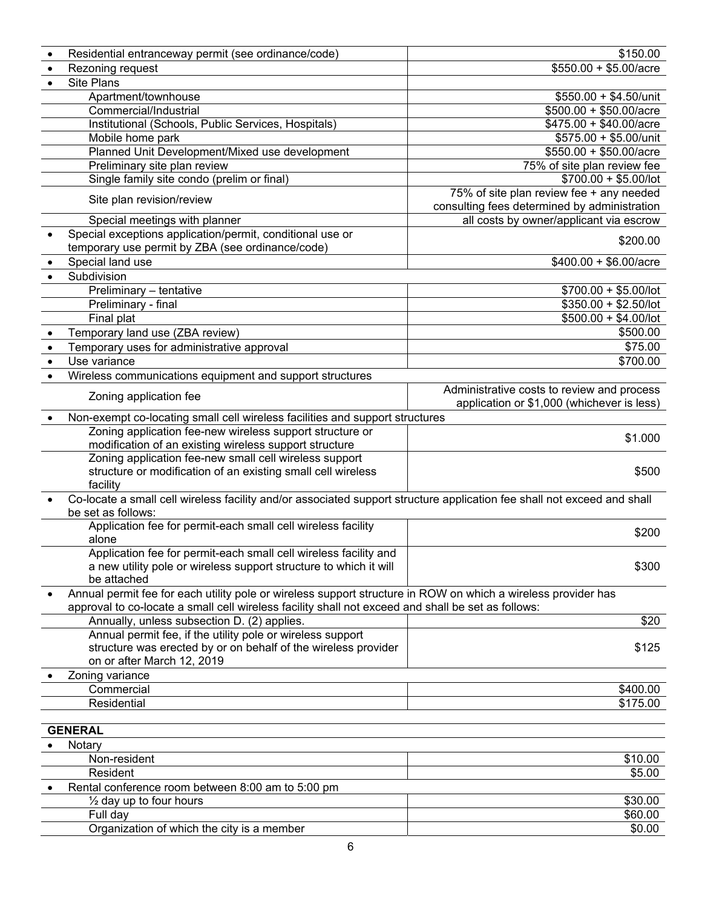|           | Residential entranceway permit (see ordinance/code)                                                                     | \$150.00                                     |
|-----------|-------------------------------------------------------------------------------------------------------------------------|----------------------------------------------|
| $\bullet$ | Rezoning request                                                                                                        | $$550.00 + $5.00/acre$                       |
|           | Site Plans                                                                                                              |                                              |
|           | Apartment/townhouse                                                                                                     | $$550.00 + $4.50/$ unit                      |
|           | Commercial/Industrial                                                                                                   | $$500.00 + $50.00/a$ cre                     |
|           | Institutional (Schools, Public Services, Hospitals)                                                                     | $$475.00 + $40.00/a$ cre                     |
|           | Mobile home park                                                                                                        | \$575.00 + \$5.00/unit                       |
|           | Planned Unit Development/Mixed use development                                                                          | $$550.00 + $50.00/$ acre                     |
|           | Preliminary site plan review                                                                                            | 75% of site plan review fee                  |
|           | Single family site condo (prelim or final)                                                                              | $$700.00 + $5.00/$ lot                       |
|           |                                                                                                                         | 75% of site plan review fee + any needed     |
|           | Site plan revision/review                                                                                               | consulting fees determined by administration |
|           | Special meetings with planner                                                                                           | all costs by owner/applicant via escrow      |
|           | Special exceptions application/permit, conditional use or                                                               |                                              |
|           | temporary use permit by ZBA (see ordinance/code)                                                                        | \$200.00                                     |
|           | Special land use                                                                                                        | $$400.00 + $6.00/$ acre                      |
|           | Subdivision                                                                                                             |                                              |
|           | Preliminary - tentative                                                                                                 | $$700.00 + $5.00/$ lot                       |
|           | Preliminary - final                                                                                                     | $$350.00 + $2.50/$ lot                       |
|           | Final plat                                                                                                              | $$500.00 + $4.00/$ lot                       |
|           | Temporary land use (ZBA review)                                                                                         | \$500.00                                     |
|           | Temporary uses for administrative approval                                                                              | \$75.00                                      |
|           | Use variance                                                                                                            | \$700.00                                     |
|           | Wireless communications equipment and support structures                                                                |                                              |
|           |                                                                                                                         | Administrative costs to review and process   |
|           | Zoning application fee                                                                                                  | application or \$1,000 (whichever is less)   |
|           | Non-exempt co-locating small cell wireless facilities and support structures                                            |                                              |
|           | Zoning application fee-new wireless support structure or                                                                |                                              |
|           | modification of an existing wireless support structure                                                                  | \$1.000                                      |
|           | Zoning application fee-new small cell wireless support                                                                  |                                              |
|           | structure or modification of an existing small cell wireless                                                            | \$500                                        |
|           | facility                                                                                                                |                                              |
|           | Co-locate a small cell wireless facility and/or associated support structure application fee shall not exceed and shall |                                              |
|           | be set as follows:                                                                                                      |                                              |
|           | Application fee for permit-each small cell wireless facility                                                            | \$200                                        |
|           | alone                                                                                                                   |                                              |
|           | Application fee for permit-each small cell wireless facility and                                                        |                                              |
|           | a new utility pole or wireless support structure to which it will                                                       | \$300                                        |
|           | be attached                                                                                                             |                                              |
|           | Annual permit fee for each utility pole or wireless support structure in ROW on which a wireless provider has           |                                              |
|           | approval to co-locate a small cell wireless facility shall not exceed and shall be set as follows:                      | \$20                                         |
|           | Annually, unless subsection D. (2) applies.<br>Annual permit fee, if the utility pole or wireless support               |                                              |
|           | structure was erected by or on behalf of the wireless provider                                                          | \$125                                        |
|           | on or after March 12, 2019                                                                                              |                                              |
|           | Zoning variance                                                                                                         |                                              |
|           | Commercial                                                                                                              | \$400.00                                     |
|           | Residential                                                                                                             | \$175.00                                     |
|           |                                                                                                                         |                                              |
|           | <b>GENERAL</b>                                                                                                          |                                              |
|           | Notary                                                                                                                  |                                              |
|           | Non-resident                                                                                                            | \$10.00                                      |
|           | Resident                                                                                                                | \$5.00                                       |
|           | Rental conference room between 8:00 am to 5:00 pm                                                                       |                                              |
|           | $\frac{1}{2}$ day up to four hours                                                                                      | \$30.00                                      |
|           | Full day                                                                                                                | \$60.00                                      |
|           | Organization of which the city is a member                                                                              | \$0.00                                       |
|           |                                                                                                                         |                                              |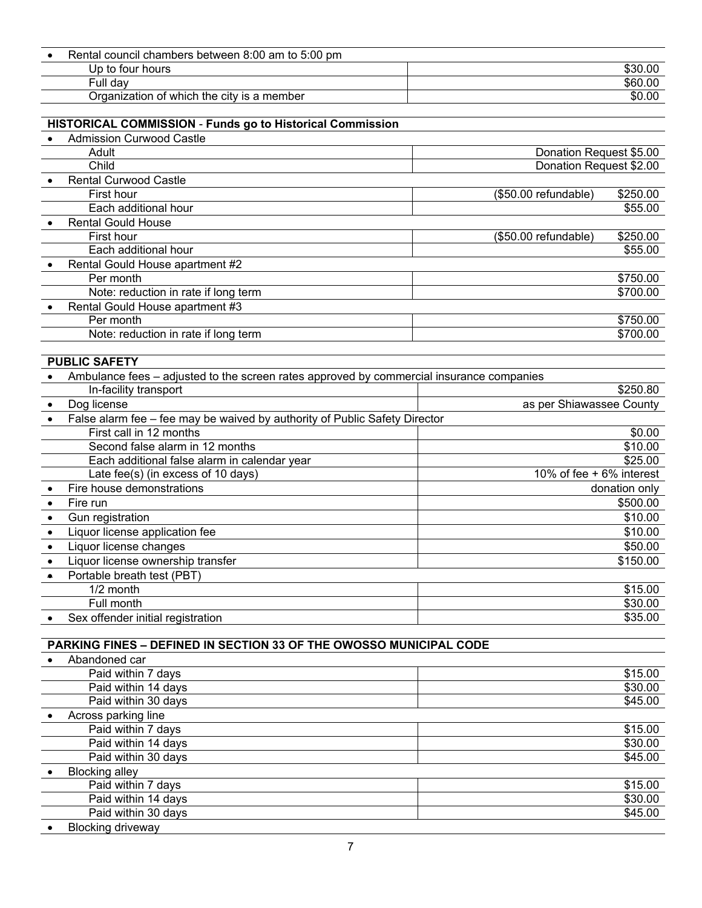| Rental council chambers between 8:00 am to 5:00 pm |         |
|----------------------------------------------------|---------|
| Up to four hours                                   | \$30.00 |
| Full dav                                           | \$60.00 |
| Organization of which the city is a member         | \$0.00  |
|                                                    |         |

#### **HISTORICAL COMMISSION** - **Funds go to Historical Commission**

| <b>Admission Curwood Castle</b>      |                         |          |
|--------------------------------------|-------------------------|----------|
| Adult                                | Donation Request \$5.00 |          |
| Child                                | Donation Request \$2.00 |          |
| <b>Rental Curwood Castle</b>         |                         |          |
| First hour                           | (\$50.00 refundable)    | \$250.00 |
| Each additional hour                 |                         | \$55.00  |
| <b>Rental Gould House</b>            |                         |          |
| First hour                           | (\$50.00 refundable)    | \$250.00 |
| Each additional hour                 |                         | \$55.00  |
| Rental Gould House apartment #2      |                         |          |
| Per month                            |                         | \$750.00 |
| Note: reduction in rate if long term |                         | \$700.00 |
| Rental Gould House apartment #3      |                         |          |
| Per month                            |                         | \$750.00 |
| Note: reduction in rate if long term |                         | \$700.00 |
|                                      |                         |          |

# **PUBLIC SAFETY**

|           | Ambulance fees – adjusted to the screen rates approved by commercial insurance companies |                          |
|-----------|------------------------------------------------------------------------------------------|--------------------------|
|           | In-facility transport                                                                    | \$250.80                 |
|           | Dog license                                                                              | as per Shiawassee County |
| $\bullet$ | False alarm fee – fee may be waived by authority of Public Safety Director               |                          |
|           | First call in 12 months                                                                  | \$0.00                   |
|           | Second false alarm in 12 months                                                          | \$10.00                  |
|           | Each additional false alarm in calendar year                                             | \$25.00                  |
|           | Late fee(s) (in excess of 10 days)                                                       | 10% of fee + 6% interest |
|           | Fire house demonstrations                                                                | donation only            |
|           | Fire run                                                                                 | \$500.00                 |
|           | Gun registration                                                                         | \$10.00                  |
|           | Liquor license application fee                                                           | \$10.00                  |
|           | Liquor license changes                                                                   | \$50.00                  |
|           | Liquor license ownership transfer                                                        | \$150.00                 |
|           | Portable breath test (PBT)                                                               |                          |
|           | $1/2$ month                                                                              | \$15.00                  |
|           | Full month                                                                               | \$30.00                  |
|           | Sex offender initial registration                                                        | \$35.00                  |

## **PARKING FINES – DEFINED IN SECTION 33 OF THE OWOSSO MUNICIPAL CODE**

| Abandoned car            |         |
|--------------------------|---------|
| Paid within 7 days       | \$15.00 |
| Paid within 14 days      | \$30.00 |
| Paid within 30 days      | \$45.00 |
| Across parking line      |         |
| Paid within 7 days       | \$15.00 |
| Paid within 14 days      | \$30.00 |
| Paid within 30 days      | \$45.00 |
| <b>Blocking alley</b>    |         |
| Paid within 7 days       | \$15.00 |
| Paid within 14 days      | \$30.00 |
| Paid within 30 days      | \$45.00 |
| <b>Blocking driveway</b> |         |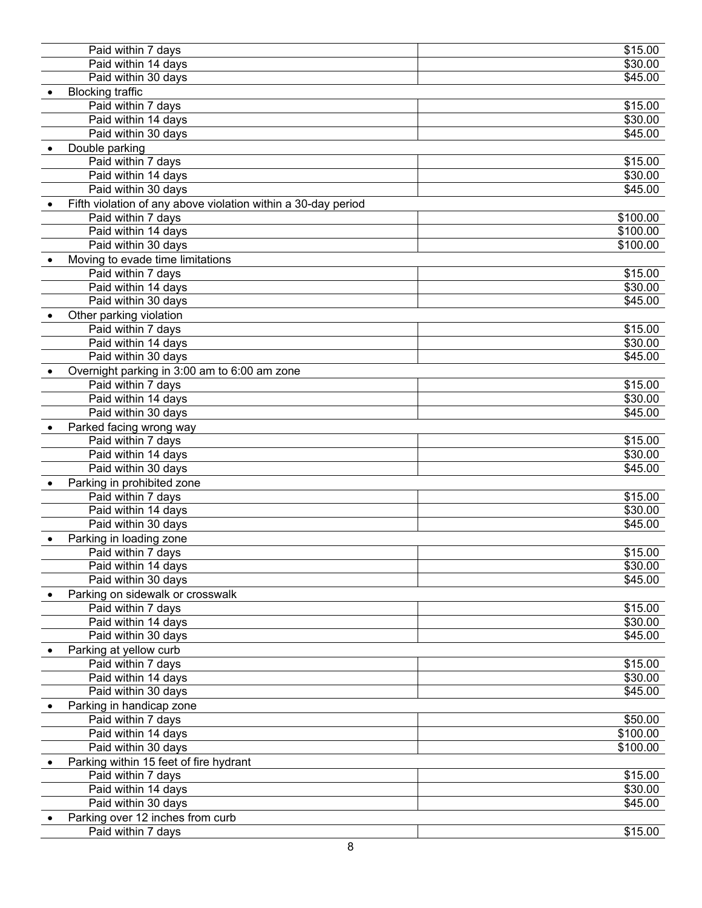| Paid within 7 days                                            | \$15.00  |
|---------------------------------------------------------------|----------|
| Paid within 14 days                                           | \$30.00  |
| Paid within 30 days                                           | \$45.00  |
| <b>Blocking traffic</b>                                       |          |
| Paid within 7 days                                            | \$15.00  |
| Paid within 14 days                                           | \$30.00  |
| Paid within 30 days                                           | \$45.00  |
| Double parking                                                |          |
| Paid within 7 days                                            | \$15.00  |
| Paid within 14 days                                           | \$30.00  |
| Paid within 30 days                                           | \$45.00  |
| Fifth violation of any above violation within a 30-day period |          |
| Paid within 7 days                                            | \$100.00 |
| Paid within 14 days                                           |          |
|                                                               | \$100.00 |
| Paid within 30 days                                           | \$100.00 |
| Moving to evade time limitations                              |          |
| Paid within 7 days                                            | \$15.00  |
| Paid within 14 days                                           | \$30.00  |
| Paid within 30 days                                           | \$45.00  |
| Other parking violation                                       |          |
| Paid within 7 days                                            | \$15.00  |
| Paid within 14 days                                           | \$30.00  |
| Paid within 30 days                                           | \$45.00  |
| Overnight parking in 3:00 am to 6:00 am zone                  |          |
| Paid within 7 days                                            | \$15.00  |
| Paid within 14 days                                           | \$30.00  |
| Paid within 30 days                                           | \$45.00  |
| Parked facing wrong way                                       |          |
| Paid within 7 days                                            | \$15.00  |
| Paid within 14 days                                           | \$30.00  |
| Paid within 30 days                                           | \$45.00  |
| Parking in prohibited zone                                    |          |
| Paid within 7 days                                            | \$15.00  |
| Paid within 14 days                                           | \$30.00  |
| Paid within 30 days                                           | \$45.00  |
| Parking in loading zone                                       |          |
| Paid within 7 days                                            | \$15.00  |
|                                                               | \$30.00  |
| Paid within 14 days<br>Paid within 30 days                    | \$45.00  |
|                                                               |          |
| Parking on sidewalk or crosswalk                              |          |
| Paid within 7 days                                            | \$15.00  |
| Paid within 14 days                                           | \$30.00  |
| Paid within 30 days                                           | \$45.00  |
| Parking at yellow curb                                        |          |
| Paid within 7 days                                            | \$15.00  |
| Paid within 14 days                                           | \$30.00  |
| Paid within 30 days                                           | \$45.00  |
| Parking in handicap zone                                      |          |
| Paid within 7 days                                            | \$50.00  |
| Paid within 14 days                                           | \$100.00 |
| Paid within 30 days                                           | \$100.00 |
| Parking within 15 feet of fire hydrant                        |          |
| Paid within 7 days                                            | \$15.00  |
| Paid within 14 days                                           | \$30.00  |
| Paid within 30 days                                           | \$45.00  |
| Parking over 12 inches from curb                              |          |
| Paid within 7 days                                            | \$15.00  |
|                                                               |          |